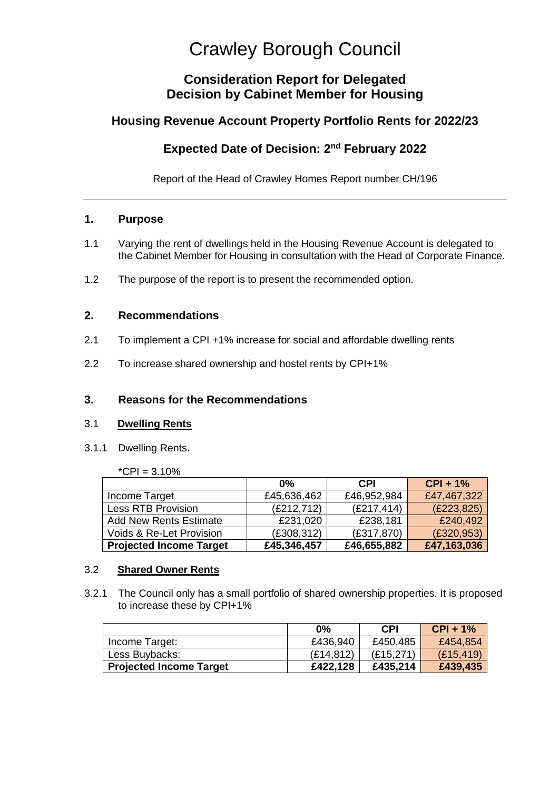# Crawley Borough Council

# **Consideration Report for Delegated Decision by Cabinet Member for Housing**

# **Housing Revenue Account Property Portfolio Rents for 2022/23**

# **Expected Date of Decision: 2nd February 2022**

Report of the Head of Crawley Homes Report number CH/196

## **1. Purpose**

- 1.1 Varying the rent of dwellings held in the Housing Revenue Account is delegated to the Cabinet Member for Housing in consultation with the Head of Corporate Finance.
- 1.2 The purpose of the report is to present the recommended option.

## **2. Recommendations**

- 2.1 To implement a CPI +1% increase for social and affordable dwelling rents
- 2.2 To increase shared ownership and hostel rents by CPI+1%

# **3. Reasons for the Recommendations**

#### 3.1 **Dwelling Rents**

3.1.1 Dwelling Rents.

| *CPI = $3.10\%$ |  |  |
|-----------------|--|--|
|                 |  |  |

|                                | 0%          | <b>CPI</b>  | $CPI + 1%$  |
|--------------------------------|-------------|-------------|-------------|
| Income Target                  | £45,636,462 | £46,952,984 | £47,467,322 |
| <b>Less RTB Provision</b>      | (E212, 712) | (E217, 414) | (E223, 825) |
| <b>Add New Rents Estimate</b>  | £231,020    | £238,181    | £240,492    |
| Voids & Re-Let Provision       | (E308, 312) | (E317,870)  | (E320, 953) |
| <b>Projected Income Target</b> | £45,346,457 | £46,655,882 | £47,163,036 |

#### 3.2 **Shared Owner Rents**

3.2.1 The Council only has a small portfolio of shared ownership properties. It is proposed to increase these by CPI+1%

|                                | $0\%$      | CPI        | $CPI + 1%$ |
|--------------------------------|------------|------------|------------|
| Income Target:                 | £436,940   | £450,485   | £454,854   |
| Less Buybacks:                 | (E14, 812) | (E15, 271) | (E15, 419) |
| <b>Projected Income Target</b> | £422,128   | £435,214   | £439,435   |